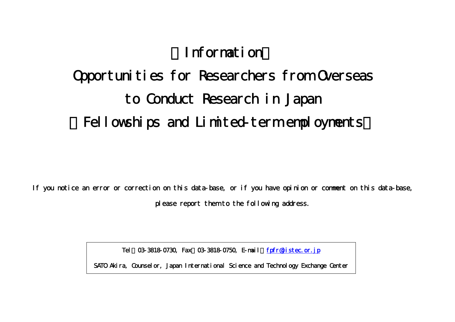# 【Information】

# Opportunities for Researchers from Overseas to Conduct Research in Japan Fellowships and Limited-term employments

If you notice an error or correction on this data-base, or if you have opinion or comment on this data-base, please report them to the following address.

Tel: 03-3818-0730, Fax: 03-3818-0750, E-mail: fpfr@jistec.or.jp

SATO Akira, Counselor, Japan International Science and Technology Exchange Center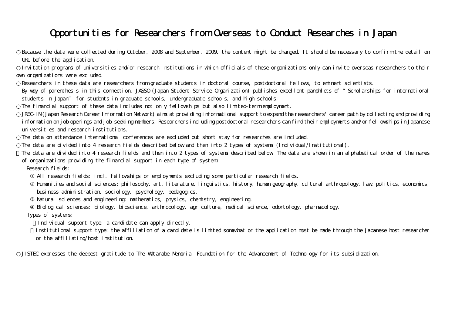### Opportunities for Researchers from Overseas to Conduct Researches in Japan

Because the data were collected during October, 2008 and September, 2009, the content might be changed. It should be necessary to confirm the detail on URL before the application.

Invitation programs of universities and/or research institutions in which officials of these organizations only can invite overseas researchers to their own organizations were excluded.

Researchers in these data are researchers from graduate students in doctoral course, postdoctoral fellows, to eminent scientists.

By way of parenthesis in this connection, JASSO (Japan Student Service Organization) publishes excellent pamphlets of "Scholarships for international students in Japan" for students in graduate schools, undergraduate schools, and high schools.

The financial support of these data includes not only fellowships but also limited-term employment.

JREC-IN (Japan Research Career Information Network) aims at providing informational support to expand the researchers' career path by collecting and providing information on job openings and job-seeking members. Researchers including postdoctoral researchers can find their employments and/or fellowships in Japanese universities and research institutions.

The data on attendance international conferences are excluded but short stay for researches are included.

The data are divided into 4 research fields described below and then into 2 types of systems (Individual/Institutional).

The data are divided into 4 research fields and then into 2 types of systems described below. The data are shown in an alphabetical order of the names of organizations providing the financial support in each type of system.

Research fields:

All research fields: incl. fellowships or employments excluding some particular research fields.

Humanities and social sciences: philosophy, art, literature, linguistics, history, human geography, cultural anthropology, law, politics, economics, business administration, sociology, psychology, pedagogics.

Natural sciences and engineering: mathematics, physics, chemistry, engineering.

Biological sciences: biology, bioscience, anthropology, agriculture, medical science, odontology, pharmacology.

Types of systems:

Individual support type: a candidate can apply directly.

Institutional support type: the affiliation of a candidate is limited somewhat or the application must be made through the Japanese host researcher or the affiliating/host institution.

JISTEC expresses the deepest gratitude to The Watanabe Memorial Foundation for the Advancement of Technology for its subsidization.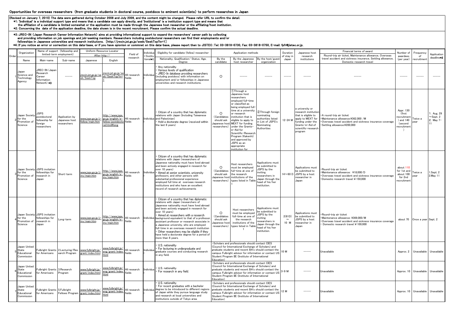#### Opportunities for overseas researchers (from graduate students in doctoral course, postdocs to eminent scientists) to perform researches in Japan

(Revised on January 7, 2010) The data were gathered during October 2008 and July 2009, and the content might be changed. Please refer URL to confirm the detail.<br>Findividual support type and means that a candidate is imited

## #3:JREC–IN (Japan Research Career Information Network) aims at providing informational support to expand the researchers' career path by collecting<br>and providing information on job openings and job-seeking members. Resear

|       | Organization                                        |                                                                          | Name of support (fellowship and<br>limited-term employment) | After http://                         | Uniform Resource Locator                                                                         | Field of                      | ndividua             | Eligibility for candidate (fellow) researcher                                                                                                                                                                                                                                                                                                                                                                                                                                                                                                          |                                                                                                                                                                                                                                                                                           | Application methods                                                                                                                                                                                                                                                                                                                                                           |                                                                                                                                               | Duration                 | Japanese host                                                                                                                                                          | Financial terms of award<br>Round-trip air ticket, Maintenance allowance, Overseas                                                                            | Numher of                                                               | Frequency                    | Application                       |
|-------|-----------------------------------------------------|--------------------------------------------------------------------------|-------------------------------------------------------------|---------------------------------------|--------------------------------------------------------------------------------------------------|-------------------------------|----------------------|--------------------------------------------------------------------------------------------------------------------------------------------------------------------------------------------------------------------------------------------------------------------------------------------------------------------------------------------------------------------------------------------------------------------------------------------------------------------------------------------------------------------------------------------------------|-------------------------------------------------------------------------------------------------------------------------------------------------------------------------------------------------------------------------------------------------------------------------------------------|-------------------------------------------------------------------------------------------------------------------------------------------------------------------------------------------------------------------------------------------------------------------------------------------------------------------------------------------------------------------------------|-----------------------------------------------------------------------------------------------------------------------------------------------|--------------------------|------------------------------------------------------------------------------------------------------------------------------------------------------------------------|---------------------------------------------------------------------------------------------------------------------------------------------------------------|-------------------------------------------------------------------------|------------------------------|-----------------------------------|
| Order | Name                                                | Main-name                                                                | Sub-name                                                    | Japanese                              | English                                                                                          | research                      | /Institu<br>tional≉1 | Nationality, Qualification/ Status, Age.<br>Degree                                                                                                                                                                                                                                                                                                                                                                                                                                                                                                     | By the<br>candidate                                                                                                                                                                                                                                                                       | By the Japanese<br>host researcher                                                                                                                                                                                                                                                                                                                                            | By the host/gues<br>organization                                                                                                              | of stav in<br>Japan      | research<br>institutions                                                                                                                                               | travel accident and sickness insurance, Settling allowance,<br>Domestic research travel                                                                       | awardees<br>(per year)                                                  | of<br>recruitmer             | deadline*2                        |
|       | Japan<br>Science and<br>Technology<br>Agency        | JREC-IN (Japar<br>Research<br>Career<br>Information<br>Network) *3       |                                                             | jrecin.jst.go.jp/se<br>ek/SeekTop     | jrecin.jst.go.jp/se<br>ek/SeekTop?in=                                                            | All research<br>fields        | Individua            | Any nationality<br>Various levels of qualification<br>JREC-In database providing researchers<br>including postdocs) with information on<br>employment and/or fellowships in Japanese<br>universities and research institutions.                                                                                                                                                                                                                                                                                                                        | $\circ$                                                                                                                                                                                                                                                                                   |                                                                                                                                                                                                                                                                                                                                                                               |                                                                                                                                               | $- - - - -$              |                                                                                                                                                                        |                                                                                                                                                               |                                                                         | $- - - - -$                  |                                   |
|       | Japan Society<br>for the<br>Promotion of<br>Science | <b>JSPS</b><br>postdoctoral<br>ellowship for<br>foreign<br>researchers   | Application by<br>Japanese host<br>researchers              | fellow/main.htm                       | http://www.jsps.<br>ww.jsps.go.jp/j-go.jp/english/e-<br>fellow/postdocto fields<br>ral.html#long | All research                  |                      | Citizen of a country that has diplomatic<br>relations with Japan (Including Taiwanese<br>Individua and Palestinian)<br>Hold a doctorate degree (received within<br>the last 6 years)                                                                                                                                                                                                                                                                                                                                                                   | $\circ$<br>(Candidates<br>should ask<br>Japanese host<br>researchers)                                                                                                                                                                                                                     | 1)Through a<br>Japanese host<br>researchers<br>emploved full-time<br>or classified as<br>being employed full<br>time at a university<br>or research<br>institution that is<br>eligible to apply to<br><b>MEXT</b> for funding<br>inder the Grants-<br>n-Aid for<br>Scientific-Research<br>Program (Kakenhi)<br>and approved by<br>JSPS as an<br>appropriate<br>nstitution for | 2Through foreign<br><b>ominating</b><br>uthorities listed<br>n List of JSPS's<br>Nominating<br>Authorities                                    |                          | a university or<br>research institutior<br>that is eligible to<br>12-24 M apply to MEXT for<br>funding under the<br>Grants-in-Aid of<br>scientific-research<br>program | A round-trip air ticket<br>Maintenance allowance:¥362.000 /M<br>Overseas travel accident and sickness insurance coverage<br>Settling allowance:¥200,000       | Appr. 130<br>(first<br>ecruitment<br>) and 140<br>(second<br>ecruitment | Twice a<br>ear               | . Aug. 29<br>Sept. 2<br>2. May 7- |
|       | for the<br>Promotion of<br>Science                  | Japan Society JSPS invitation<br>ellowships for<br>research in<br>Japan  | Short-term                                                  | www.jsps.go.jp/j-<br>inv/main.htm     | http://www.jsps.<br>go.jp/english/e-<br>inv/main.htm                                             | All research<br>fields        |                      | Citizen of a country that has diplomatic<br>relations with Japan (researchers of<br>Japanese nationality must have lived abroad<br>and been actively engaged in research for<br>over 10 years)<br>Individua • Aimed at senior scientists, university<br>professors, and other persons with<br>substantial professional experience<br>employed full time at overseas research<br>institutions and who have an excellent<br>record of research achievements                                                                                              | $\circ$<br>researchers)                                                                                                                                                                                                                                                                   | Host researchers<br>must be employed<br>(Candidates full-time at one of<br>should ask the research<br>Japanese host institutions of the<br>types listed in Tabl                                                                                                                                                                                                               | Applications must<br>e submitted to<br>JSPS by the<br><b>nviting</b><br>esearchers in<br>Japan through the<br>head of his/her<br>institution. |                          | Applications must<br>be submitted to<br>$14 \sim 60$ D JSPS by a host<br>researcher in<br>Japan                                                                        | Round-trip air ticket<br>Maintenance allowance: ¥18,000/D<br>Overseas travel accident and sickness insurance coverage<br>Domestic research travel: ¥150,000   | about 110<br>for 1st and<br>about 100<br>for 2nd<br>ecruitment          | Twice a<br>ear               | Sept. 2<br>2. May 11              |
|       | Japan Society<br>for the<br>Promotion of<br>Science | <b>JSPS</b> invitation<br><b>Fellowships</b> for<br>research in<br>Japan | .ong-term                                                   | www.jsps.go.jp/j-<br>nv/main.htm      | http://www.jsps.<br>go.jp/english/e-<br>inv/main.htm                                             | All research<br>fields        | Individua            | • Citizen of a country that has diplomatic<br>relations with Japan (researchers of<br>Japanese nationality must have lived abroad<br>and been actively engaged in research for<br>over 10 years)<br>Aimed at researchers with a research<br>background equivalent to that of a professor<br>assistant professor or research associate ir<br>a Japanese university, who are employed<br>full-time in an overseas research institution<br>Other researchers may be eligible if they<br>ave held a doctorate degree for a period of<br>nore than 6 years. | $\circ$<br>(Candidates<br>should ask<br>Japanese host<br>researchers)                                                                                                                                                                                                                     | Host researchers<br>must be employed<br>full-time at one of<br>the research<br>institutions of the<br>ypes listed in Table                                                                                                                                                                                                                                                    | Applications must<br>be submitted to<br>JSPS by the<br>nviting<br>researchers in<br>Japan through the<br>head of his/her<br>institution.      | 2(61D)<br>$\sim$<br>10 M | Applications must<br>be submitted to<br>JSPS by a host<br>researcher in<br>Japan                                                                                       | Round-trip air ticket<br>Maintenance allowance: ¥369,000/M<br>Overseas travel accident and sickness insurance coverage<br>Domestic research travel: ¥ 100,000 |                                                                         | about 70 Once a year Sept. 2 |                                   |
|       | Japan United<br>State<br>Educational<br>Commission  | for Americans                                                            | ulbright Grants 2.Lecturing/Res<br>earch Program            | www.fulbright.jp/<br>grant/index.html | www.fulbright.jp/<br>eng/grant/index.<br>ıtml                                                    | All research<br>ields         | Individua            | U.S. nationality<br>For lecturing in undergraduate and<br>graduate courses and conducting research<br>n any field.                                                                                                                                                                                                                                                                                                                                                                                                                                     | Education)                                                                                                                                                                                                                                                                                | · Scholars and professionals should contact CIES<br>(Council for International Exchange of Scholars) and<br>graduate students and recent BA's should contact the<br>campus Fulbright advisor for information or contact US<br>Student Program IIE (Institute of International                                                                                                 |                                                                                                                                               | 10 M                     |                                                                                                                                                                        | Jnavailable                                                                                                                                                   | Approx. 2                                                               | Unavailable                  | Unavailable                       |
|       | Japan United<br>State<br>Educational<br>Commission  | Fulbright Grants 3.Research<br>for Americans                             | Program                                                     | www.fulbright.jp/<br>grant/index.html | www.fulbright.jp/<br>eng/grant/index.<br>html                                                    | All research<br><b>Fields</b> | Individua            | U.S. nationality<br>For research in any field.                                                                                                                                                                                                                                                                                                                                                                                                                                                                                                         | Scholars and professionals should contact CIES<br>(Council for International Exchange of Scholars) and<br>graduate students and recent BA's should contact the<br>campus Fulbright advisor for information or contact US<br>Student Program IIE (Institute of International<br>ducation)  |                                                                                                                                                                                                                                                                                                                                                                               | $3-9$ M                                                                                                                                       | -----                    | Jnavailable                                                                                                                                                            |                                                                                                                                                               | Approx. 10 Unavailable                                                  | Unavailable                  |                                   |
|       | Japan United<br>State<br>Educational<br>Commission  | Fulbright Grants 5.Fulbright<br>for Americans                            | Fellows Program                                             | www.fulbright.jp/<br>grant/index.html | www.fulbright.jp/<br>eng/grant/index                                                             | All research<br>fields        |                      | U.S. nationality<br>For recent graduates with a bachelor<br>Individua degree to be introduced to different regions<br>f Japan while they pursue language study<br>and research at local universities and<br>institutions outside of Tokyo area.                                                                                                                                                                                                                                                                                                        | Scholars and professionals should contact CIES<br>(Council for International Exchange of Scholars) and<br>graduate students and recent BA's should contact the<br>campus Fulbright advisor for information or contact US<br>Student Program IIE (Institute of International<br>Education) |                                                                                                                                                                                                                                                                                                                                                                               |                                                                                                                                               | 12 M                     |                                                                                                                                                                        | Jnavailable                                                                                                                                                   |                                                                         | Approx. 10 Unavailable       | Unavailable                       |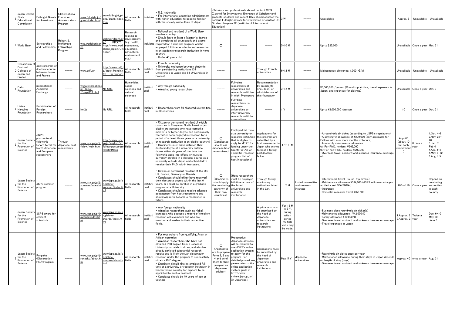|    | Japan United<br>State<br>Educational<br>Commissior             | ulbright Grants<br>for Americans                                                                               | 6.International<br>Education<br>Administrators<br>Program | www.fulbright.jp/<br>grant/index.html                    | www.fulbright.jp/<br>eng/grant/index<br>html                                                       | All research<br><b>Fields</b>                                                                                              | ndividua               | U.S. nationality<br>For international education administrators<br>with higher education, to become familiar<br>with the society and culture of Japan                                                                                                                                                                                                                                                                                                                                                                                                                                                                                          | Education)                                                                                                                      | Scholars and professionals should contact CIES<br>Council for International Exchange of Scholars) and<br>graduate students and recent BA's should contact the<br>campus Fulbright advisor for information or contact US<br>Student Program IIE (Institute of International            |                                                                                                                                                  | 3 W                                                                                    |                                                | Unavailable                                                                                                                                                                                                                                                                                                                                             | Approx. 5                                                      | Unavailable                     | Unavailable                                                                                                 |
|----|----------------------------------------------------------------|----------------------------------------------------------------------------------------------------------------|-----------------------------------------------------------|----------------------------------------------------------|----------------------------------------------------------------------------------------------------|----------------------------------------------------------------------------------------------------------------------------|------------------------|-----------------------------------------------------------------------------------------------------------------------------------------------------------------------------------------------------------------------------------------------------------------------------------------------------------------------------------------------------------------------------------------------------------------------------------------------------------------------------------------------------------------------------------------------------------------------------------------------------------------------------------------------|---------------------------------------------------------------------------------------------------------------------------------|---------------------------------------------------------------------------------------------------------------------------------------------------------------------------------------------------------------------------------------------------------------------------------------|--------------------------------------------------------------------------------------------------------------------------------------------------|----------------------------------------------------------------------------------------|------------------------------------------------|---------------------------------------------------------------------------------------------------------------------------------------------------------------------------------------------------------------------------------------------------------------------------------------------------------------------------------------------------------|----------------------------------------------------------------|---------------------------------|-------------------------------------------------------------------------------------------------------------|
|    | <b>World Bank</b>                                              | Scholarships<br>and Fellowships                                                                                | Robert S.<br>McNamara<br>Fellowships<br>Program           | web.worldbank.or                                         | veb.worldbank.c<br>(中文で<br>g/<br>http://www.worl<br>dbank.org.cn/Chi<br>1ese/)                     | Research<br>relating to<br>developmen<br>(e.g. health,<br>economics.<br>education,<br>agriculture,<br>environment<br>etc.) | dividua                | National and resident of a World Bank<br>nember country.<br>Should have at least a Master's degree<br>and completed all coursework and exams<br>required for a doctoral program, and be<br>emploved full time as a lecturer/researcher<br>in an academic/research institution in home<br>country<br>Under 45 vears old                                                                                                                                                                                                                                                                                                                        | $\circ$                                                                                                                         |                                                                                                                                                                                                                                                                                       |                                                                                                                                                  | 5-10 M                                                                                 |                                                | Up to \$25,000                                                                                                                                                                                                                                                                                                                                          |                                                                | Unavailable Once a year Mar. 31 |                                                                                                             |
|    | Consortium o<br>Doctoral<br>Colleges of<br>Japan and<br>France | Joint program o<br>doctoral course<br>between Japan<br>and France                                              |                                                           | www.cdfj.jp/                                             | http://www.cdfj.<br>p/index_french.h<br>tm (In French                                              | All research<br>fields                                                                                                     | nstituti<br><b>nal</b> | French nationality.<br>University exchange between students<br>from participating institutions (34<br>Universities in Japan and 54 Universities in<br>France)                                                                                                                                                                                                                                                                                                                                                                                                                                                                                 |                                                                                                                                 |                                                                                                                                                                                                                                                                                       | Through French<br><i><u><b>Iniversities</b></u></i>                                                                                              | $3 - 12$ M                                                                             |                                                | Maintenance allowance: 1,000 €/M                                                                                                                                                                                                                                                                                                                        | Unavailable                                                    | Unavailable                     | Unavailable                                                                                                 |
| 11 | Daiko<br>Foundation                                            | International<br>Academic<br>Exchange                                                                          |                                                           | ww3.starcat.ne.<br>$\tilde{ }$ daiko $-$<br>page013.html | No URL                                                                                             | Humanities,<br>social<br>sciences and<br>natural<br>sciences                                                               | nstituti<br><b>nal</b> | Any foreign nationality<br>Aimed at young researchers                                                                                                                                                                                                                                                                                                                                                                                                                                                                                                                                                                                         |                                                                                                                                 | Full-time<br>researchers at<br>universities and<br>research institutes<br>n Aichi Prefecture                                                                                                                                                                                          | Recommendation<br>by presidents<br>incl. dean) or<br>administrators of<br>this foundation                                                        | $3 - 12M$                                                                              |                                                | ¥3,000,000 /person (Round trip air fare, travel expenses in<br>Japan, and expenses for pick-up)                                                                                                                                                                                                                                                         | Unavailable                                                    | Once a year Oct. 7              |                                                                                                             |
|    | Heiwa<br>Nakajima<br>Foundation                                | Subsidization of<br>Foreign<br>Researchers                                                                     | -----                                                     | hnf.jp                                                   | No URL                                                                                             | All research<br>fields                                                                                                     | nstituti<br>nal        | Researchers from 50 allocated universities<br>n 50 countries.                                                                                                                                                                                                                                                                                                                                                                                                                                                                                                                                                                                 | $---$                                                                                                                           | Full-time<br>researchers in<br>Japanese<br>universities or<br>inter-university<br>research institute<br>corporations                                                                                                                                                                  | ------                                                                                                                                           | 1 Y                                                                                    |                                                | Up to ¥2,000,000 /person                                                                                                                                                                                                                                                                                                                                | 10                                                             | Once a year Oct. 31             |                                                                                                             |
|    | Japan Society<br>for the<br>Promotion of<br>Science            | <b>JSPS</b><br>postdoctoral<br>fellowship<br>(short-term) for<br>North Americar<br>and European<br>researchers | Through<br>Japanese host<br>researchers                   | Fellow/main.htm                                          | http://www.jsps.<br><u>vww.jsps.go.jp/j-_go.jp/english/e-</u><br>fellow/postdocto<br>ral.html#long | All research<br>fields                                                                                                     | Instituti<br>onal      | Citizen or permanent resident of eligible<br>countries in Europe or North America (also<br>eligible are persons who have earned a<br>master's or higher degree and continuously<br>thereafter been engaged in research for a<br>period of at least three years at a university<br>or research institution in an eligible country<br>Candidates must have obtained their<br>doctoral degree at a university outside<br>Japan within six vears of the date the<br>fellowship goes into effect, or must be<br>currently enrolled in a doctoral course at a<br>university outside Japan and scheduled to<br>receive their Ph.D. within two years. | $\circ$<br>Candidates<br>should ask<br>Japanese host<br>researchers)                                                            | Employed full-time<br>at a university or<br>research institution<br>that is eligible to<br>apply to MEXT for<br>funding under the<br>Grants-in-Aid of<br>scientific-research<br>program List of<br>host institutions)                                                                 | Applications for<br>this program are<br>submitted by a<br>host researcher in<br>Japan who wishes<br>to host a foreign<br>postdoctoral<br>fellow. | $1 \sim 12$ M                                                                          |                                                | • A round-trip air ticket (according to JSPS's regulations)<br>A settling-in allowance of ¥200,000 (only applicable for<br>Fellows with 4 or more months of tenure)<br>. A monthly maintenance allowance<br>(a) For Ph.D. holders: ¥362,000<br>(b) For non-Ph.D. holders: ¥200,000<br>Overseas travel accident and sickness insurance coverage,<br>etc. | Appr.60<br>(about 10<br>for each<br>ecruitmen<br>$\rightarrow$ | 3 time a<br>vear                | 1.Oct. 4-8<br>2. Nov. 22-<br>26<br>3.Jan. 31-<br>Feb 4<br>4.Apr. 4-8<br>$5$ .May $6 - 12$<br>$6$ .Aug $1-5$ |
|    | Japan Society<br>for the<br>Promotion of<br>Science            | JSPS summer<br>program                                                                                         |                                                           | www.jsps.go.jp/j-<br><u>ummer/index.ht</u>               | www.jsps.go.jp/e<br>nglish/e-<br>summer/index.h<br>ml                                              | All research<br>fields                                                                                                     | Instituti<br>onal      | Citizen or permanent resident of the US,<br>UK, France, Germany or Canada<br>Candidates should either have received<br>their doctorate degree within the last 6<br>years, or should be enrolled in a graduate<br>program at a University<br>Candidates should also receive advance<br>acceptance from host researchers and<br>should aspire to become a researcher in<br>future.                                                                                                                                                                                                                                                              | $\circ$<br>(Candidates<br>should apply<br>he nominating the listed<br>authority of<br>their own<br>countries)                   | Host researchers<br>must be employed<br>full-time at one of<br>universities and<br>research<br>institutions)                                                                                                                                                                          | Through foreign<br>nominating<br>authorities listed<br>n the List                                                                                | 2 M                                                                                    | isted universities<br>and research<br>nstitute | International travel (Round-trip airfare)<br>·Maintenance allowance:¥534,000 (JSPS will cover charges<br>at Narita and SOKENDAI)<br>Insurance<br>Domestic research travel: ¥ 58,500                                                                                                                                                                     |                                                                | $100 \sim 110$ Once a year      | Depend on<br><b>ominating</b><br>authorities<br>each)<br>country                                            |
|    | Japan Society<br>for the<br>Promotion of<br>Science            | JSPS award for<br>eminent<br>scientists                                                                        |                                                           | www.jsps.go.jp/j-<br><u>awards/index.ht</u>              | www.jsps.go.jp/<br>nglish/e-<br>awards/index.ht<br>ml                                              | All research<br>fields                                                                                                     | Instituti<br>onal      | Any foreign nationality<br>Aimed at researchers such as Nobel<br>aureates, who possess a record of excellent<br>research achievements and who are<br>mentors and leaders in their respective<br>fields.                                                                                                                                                                                                                                                                                                                                                                                                                                       |                                                                                                                                 |                                                                                                                                                                                                                                                                                       | Applications must<br>be submitted by<br>the head of<br>Japanese<br>universities and<br>esearch<br>nstitutions                                    | For 12 M<br>in 3 Y,<br>during<br>which<br>period<br>multiple<br>visits may<br>be made. |                                                | ·Business class round-trip air ticket(s)<br>Maintenance allowance: ¥42,000/D<br>· Family allowance ¥10.000/D<br>Overseas travel accident and sickness insurance coverage<br>· Travel expenses in Japan                                                                                                                                                  | 1.Approx. 2 Twice a<br>2.Approx. 2 year                        |                                 | Dec. $6-10$<br>May 30-<br>June 3                                                                            |
|    | Japan Society<br>for the<br>Promotion of<br>Science            | Ronpaku<br>(Dissertation<br>PhD) Program                                                                       | -----                                                     | www.jsps.go.jp/j-<br>ronpaku/about.ht                    | www.jsps.go.jp/<br>nglish/e-<br><u>onpaku/about.</u><br>tml                                        | All research<br>fields                                                                                                     | Instituti<br>onal      | For researchers from qualifying Asian or<br>African countries.<br>Aimed at researchers who have not<br>obtained PhD degree from a Japanese<br>University but wish to do so, and who has<br>already achieved substantial research<br>results and is likely through dissertation<br>research under the program to successfully<br>obtain a PhD degree<br>Candidate should also be employed full<br>time at a university or research institution<br>his/her home country (or expects to be<br>appointed to such a position)<br>Candidate should be 49 years of age or<br>vounger                                                                 | $\circ$<br>(Applicants<br>are to prepare<br>Form 2, 3 and<br>4 and send<br>them to their<br>prospective<br>Japanese<br>advisor) | Prospective<br>Japanese advisors<br>will be required to<br>use JSPS's online<br>application system<br>to apply for the<br>program. For<br>detailed procedures<br>please refer to the<br>online application<br>system guide at<br>http://www-<br>shinsei.jsps.go.jp/<br>(in Japanese). | Applications must<br>be submitted by<br>the head of<br>Japanese<br>universities and<br>esearch<br>nstitutions                                    | Max. 5 Y                                                                               | Japanese<br>universities                       | ·Round-trip air ticket once per year<br>· Maintenance allowance during their stays in Japan depends<br>on length of stay (days)<br>·Overseas travel accident and sickness insurance coverage                                                                                                                                                            |                                                                | Approx. 40 once a year Aug. 31  |                                                                                                             |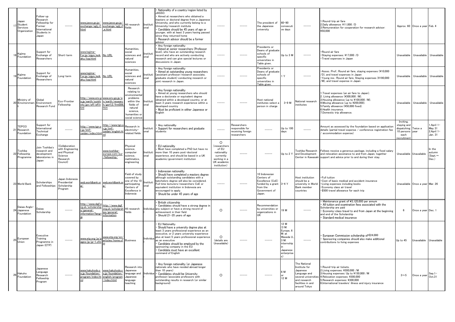|    | Japan<br>Student<br>Services<br>Organization | Follow-up<br>Research<br>Fellowship for<br>ormer <sup>-</sup><br>International<br>Students in<br>Janan |                                                                                      | www.jasso.go.jp/<br>exchange/sgtj_rf.<br>html                                     | www.jasso.go.jp/ All research<br>exchange/sgtj_rf<br>e.html        | fields                                                                                                                               | Instituti<br>onal | Nationality of a country/region listed by<br>JASSO.<br>Aimed at researchers who obtained a<br>masters or doctoral degree from a Japanes<br>University, and who currently belong to a<br>University/research institute<br>Candidate should be 45 years of age or<br>younger, with at least 3 years having passed<br>since they returned home<br>Research advisor should be a former<br>advisor |                                                                                                             |                                                                    | The president of<br>the Japanese<br>university                                                              | $60 - 90$<br>consecuti<br>ve davs                                                                            |                                                                                                                                       | .Round-trip air fare<br>2.Daily allowance: ¥11.000 /D<br>3. Remuneration for cooperation for research advisor:<br>¥50.000                                                                                                                                          |                                                                                         | Approx. 60 Once a year Feb. 4   |                                             |
|----|----------------------------------------------|--------------------------------------------------------------------------------------------------------|--------------------------------------------------------------------------------------|-----------------------------------------------------------------------------------|--------------------------------------------------------------------|--------------------------------------------------------------------------------------------------------------------------------------|-------------------|-----------------------------------------------------------------------------------------------------------------------------------------------------------------------------------------------------------------------------------------------------------------------------------------------------------------------------------------------------------------------------------------------|-------------------------------------------------------------------------------------------------------------|--------------------------------------------------------------------|-------------------------------------------------------------------------------------------------------------|--------------------------------------------------------------------------------------------------------------|---------------------------------------------------------------------------------------------------------------------------------------|--------------------------------------------------------------------------------------------------------------------------------------------------------------------------------------------------------------------------------------------------------------------|-----------------------------------------------------------------------------------------|---------------------------------|---------------------------------------------|
|    | Kajima<br>Foundation                         | Support for<br>Exchange of<br>Researchers                                                              | Short-term                                                                           | www.kajima-<br>.or.jp/zigyo_keik<br>aku/top.html                                  | No URL                                                             | Humanities,<br>social<br>sciences and<br>natural<br>sciences                                                                         | Institut<br>onal  | Any foreign nationality<br>Aimed at senior researchers (Professor<br>level), who have an outstanding research<br>record and who are actively conducting<br>research and can give special lectures or<br>discussions in Japan.                                                                                                                                                                 |                                                                                                             |                                                                    | Presidents or<br>Deans of graduate<br>schools of<br>specific<br>universities in<br>Table given.             | Up to 3 M                                                                                                    |                                                                                                                                       | Round air fare<br>Staying expenses: ¥17,000 /D<br>· Travel expenses in Japan                                                                                                                                                                                       | Unavailable                                                                             | Unavailable                     | Unavailable                                 |
|    | Kajima<br>Foundation                         | Support for<br>Exchange of<br>Researchers                                                              | _ong-term                                                                            | www.kajima-<br>or.jp/zigyo_keik<br>aku/top.html                                   | No URL                                                             | Humanities.<br>social<br>sciences and<br>natural<br>ciences                                                                          | Institut<br>nal   | Any foreign nationality<br>Aimed at outstanding young researchers<br>(assistant professor/research associate,<br>graduate student) conducting research or<br>ioint research in Japan                                                                                                                                                                                                          |                                                                                                             |                                                                    | Presidents or<br>Deans of graduate<br>schools of<br>specific<br>universities in<br>Table giver              |                                                                                                              |                                                                                                                                       | Assoc. Prof.: Round air fare, staying expenses (¥10,000<br>/D), and travel expenses in Japan<br>*Young res.: Round air fare, Staying expenses (¥190,000<br>/M), and travel expense in Japan                                                                        | Unavailable                                                                             | Unavailable                     | Unavailable                                 |
| 20 | Ministry of<br>Environmen                    | Global<br>Environment<br>Research Fund                                                                 | Eco-Frontier<br>Fellowship                                                           | <u>http://www.env.g_www.env.go.jp/e</u><br>o.jp/earth/suishi<br>nhi/jpn/eff/eff.h | n/earth/researc<br>h/gerf_E/frm006<br>ıtm                          | Research<br>relating to<br>nvironmenta<br>problems<br>within the<br>fields of<br>natural<br>science,<br>umanities or<br>ocial scienc | Instituti<br>onal | Any foreign nationality<br>Aimed at young researchers who should<br>have a doctorate or equivalent degree<br>obtained within a developed country, or at<br>least 3 years research experience within a<br>developed country<br>Must be proficient in either Japanese or<br>English                                                                                                             |                                                                                                             |                                                                    | Host national<br>institutes select<br>person in charge                                                      | $3-9$ M                                                                                                      | National research<br>institutes                                                                                                       | 1.Travel expenses (an air fare to Japan).<br>2. Living allowance (¥300,000 /M).<br>3. Housing allowance (up to ¥100,000 /M).<br>4. Moving allowance (up to ¥200,000).<br>5. Family allowance (¥50,000 fixed).<br>6.Health insurance.<br>7.Domestic trip allowance. | Unavailable                                                                             | Unavailable                     | Unavailable                                 |
| 21 | TEPCO<br>Research<br>-oundation              | Support for<br>nternational<br>Technical<br>Exchange                                                   |                                                                                      | http://www.tgn.o<br>-.jp/tmf<br>zaidan/index.htm                                  | http://www.tgn<br>∴jp/tmf−<br><u>zaidan/english.h</u>              | Research in<br>electricity-<br>related fields                                                                                        | nstituti<br>onal  | Any nationality<br>Support for researchers and graduate<br>students                                                                                                                                                                                                                                                                                                                           |                                                                                                             | Researchers<br>responsible for<br>receiving foreign<br>researchers |                                                                                                             | Up to 100<br>days                                                                                            |                                                                                                                                       | Amount as assessed by the foundation based on application<br>details (partial travel expense / conference registration fee<br>accommodation expense)                                                                                                               | Inviting.<br>staving and<br>dispatching: Twice a<br>10 persons year<br>each<br>ecruitme |                                 | April 1-<br>May 31<br>2.April 1-<br>Jan. 31 |
| 22 | Toshiba<br>Fellowship<br>Programme           | Join Toshiba's<br>research and<br>development<br>laboratories in<br>Japan                              | Collaboration<br>with Engineering<br>and Physical<br>Science<br>Research<br>Council) |                                                                                   | www.toshiba-<br>europe.com/eur<br>fellowship/                      | hysical<br>cience.<br>omputer<br>cience.<br><b>athmatics</b><br>engineering                                                          | Instituti<br>onal | EU nationality<br>Must have completed a PhD but have no<br>more than 10 years post-doctoral<br>experience, and should be based in a UK<br>academic/government institution                                                                                                                                                                                                                     | $\Omega$<br>researchers<br>of EU<br>nationality<br>currently<br>working in a<br>UK academic<br>institution) |                                                                    |                                                                                                             | Un to $2Y$                                                                                                   | Toshiba Research<br>and Development<br>Center in Kawasak                                                                              | Fellows receive a generous package, including a fixed salary<br>and relocation assistance to and from Japan, together<br>support and advice prior to and during their stay.                                                                                        | Unavailable                                                                             | Unavailable                     | n the<br>autumn<br>Sept $\sim$<br>Dec.)     |
| 23 | <b>World Bank</b>                            | Scholarships<br>and Fellowships                                                                        | Japan Indonesia<br>Presidential<br><b>Scholarship</b><br>Program                     | web.worldbank.or                                                                  | web.worldbank.c                                                    | Field of study<br>covered by<br>ne of the 10<br>articipating<br>Centers of<br>Excellence in<br>Indonesia                             | Institut          | Indonesian nationality<br>Should have completed a masters degree<br>although outstanding candidates with a<br>batchelors degree will also be considered.<br>Full time lecturers/researchers CoE or<br>equivalent institution in Indonesia are<br>encouraged to apply.<br>Should be under 45 years of age                                                                                      |                                                                                                             |                                                                    | 10 Indonesian<br>Centers of<br>Excellence (CoE)<br>funded by a grant<br>from the<br>Government of<br>Japan. | $3-4Y$                                                                                                       | Host institution<br>should be a<br>university in World<br><b>Bank member</b><br>countries                                             | · Full tuition<br>Cost of basic medical and accident insurance<br>· Living expenses including books<br>· Economy class air travel<br>\$500 travel allowance for each trip                                                                                          |                                                                                         | Unavailable Once a year Mar. 26 |                                             |
| 24 | Daiwa Anglo-<br>Japanese<br>Foundation       | Daiwa<br>Scholarship                                                                                   |                                                                                      | http://www.dajf.c<br>rg.uk/scholarship<br>s/general-<br>nformation?lang           | http://www.dajf.<br>org.uk/scholarsh<br>ips/general-<br>าformation | All research<br>fields                                                                                                               | ndividua          | British citizenship<br>Candidates should have a strong degree in<br>any subject or have a strong record of<br>chievement in their field<br>Should 21-35 years of age                                                                                                                                                                                                                          | $\circ$                                                                                                     |                                                                    | Recommendation<br>by universities or<br>organizations in                                                    | 19 M                                                                                                         |                                                                                                                                       | Maintenance grant of ¥3,120,000 per annum<br>All tuition and examination fees associated with the<br>Scholarship are paid<br>Economy-class travel to and from Japan at the beginning<br>and end of the Scholarship<br>Standard medical insurance                   | - 6                                                                                     | Once a year Dec. 1              |                                             |
| 25 | European<br>Jnion                            | Executive<br>Training<br>Programme in<br>Japan (ETP)                                                   | $- - - - -$                                                                          | www.etp.org/ja/p<br>ages/jp/jp-1.cfm                                              | www.etp.org/en<br>articles/home.cf Business                        |                                                                                                                                      | ndividua          | <b>EU Nationality</b><br>Should have a university degree plus at<br>least 3 vears professional experience as an<br>executive, or 2 years university experience<br>plus at least 5 years professional experience<br>as an executive<br>Candidate should be employed by the<br>sponsoring company in the EU<br>Candidate must have an excellent<br>ommand of English                            | $\circ$<br>(details are<br>Unavailable)                                                                     |                                                                    |                                                                                                             | 12 M<br>(3 M:<br>Europe, 6<br>M: at<br>Waseda U.<br>3 M <sup>.</sup><br>internship<br>Japanese<br>enterprise |                                                                                                                                       | European Commission scholarship of €24,000<br>Sponsoring companies should also make additional<br>contributions to living expenses                                                                                                                                 | Up to 45                                                                                | Unavailable                     | Unavailable                                 |
| 26 | Hakuho<br>Foundation                         | Japanese<br>Language<br>Research<br>Fellowship<br>Program                                              |                                                                                      | www.hakuhodo.c<br>o.ip/foundation/<br>program/index.ht<br>ml                      | www.hakuhodo.<br>o.ip/foundation/<br>english/program<br>index.html | Research into<br>lananese<br>anguage and<br>Japanese<br>inguage<br>eaching:                                                          | Individua         | Any foreign nationality (or Japanese<br>nationals who have resided abroad longer<br>han 10 vears)<br>Candidates should be University<br>professor/associate professors with<br>outstanding results in research (or similar<br>background)                                                                                                                                                     | $\circ$                                                                                                     |                                                                    |                                                                                                             | 6 M<br>12 M                                                                                                  | The National<br>Institute for<br>Japanese<br>Language and<br>several universitie<br>and research<br>facilities in and<br>around Tokyo | .Round-trip air tickets.<br>2.Living expenses: ¥300,000 /M<br>3. Housing expenses: Up to ¥150,000 /M<br>4. Relocation expenses: ¥300,000<br>Research expenses: ¥300,000<br>6.International travelers' illness and injury insurance                                 | $3 \sim 5$                                                                              | Once a year                     | $Sep.1-$<br>Oct.31                          |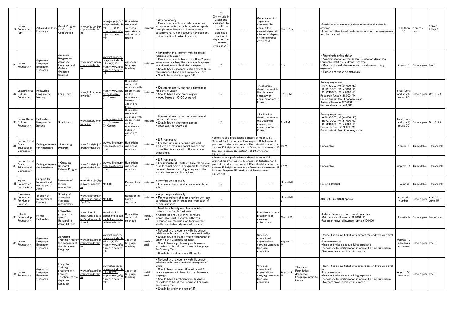|              | Japan<br>27 Foundation<br>(JF)                            | Arts and Culture<br>Exchange                      | Grant Program<br>for Cultural<br>Cooperation                                              | www.jpf.go.jp/j/p<br>rogram/index.ht                                    | www.jpf.go.jp/e/<br>program/index.h<br>ml (中文で:<br>http://www.jpf.j<br>o.jp/cn/index.ht<br>ml)        | Humanities<br>and social<br>sciences ·<br>specialists ir<br>culture, arts<br>sports                                 |                  | Any nationality<br>Candidates should specialists who can<br>enhance activities in culture, arts or sports<br>through contributions to infrastructure<br>development, human resource development<br>and international cultural exchange                                                                                                    | $\Omega$<br>(Individuals i<br>Japan and<br>overseas. To<br>consult the<br>nearest<br>diplomatic<br>mission of<br>Japan or the<br>overseas<br>office of JF) |                                                                                                                                                                                                                                                                             | Organization in<br>Japan and<br>overseas. To<br>consult the<br>nearest diplomati<br>nission of Japan<br>or the overseas<br>office of JF | Max. 13 M      | $- - - - -$                                                       | ·Partial cost of economy-class international airfare is<br>covered<br>. A part of other travel costs incurred over the program may<br>also be covered                                                                                      | Less than<br>10                       | 2 times a<br>vear                  | 1.Dec.1<br>$2$ .May $6$ |
|--------------|-----------------------------------------------------------|---------------------------------------------------|-------------------------------------------------------------------------------------------|-------------------------------------------------------------------------|-------------------------------------------------------------------------------------------------------|---------------------------------------------------------------------------------------------------------------------|------------------|-------------------------------------------------------------------------------------------------------------------------------------------------------------------------------------------------------------------------------------------------------------------------------------------------------------------------------------------|------------------------------------------------------------------------------------------------------------------------------------------------------------|-----------------------------------------------------------------------------------------------------------------------------------------------------------------------------------------------------------------------------------------------------------------------------|-----------------------------------------------------------------------------------------------------------------------------------------|----------------|-------------------------------------------------------------------|--------------------------------------------------------------------------------------------------------------------------------------------------------------------------------------------------------------------------------------------|---------------------------------------|------------------------------------|-------------------------|
| 28           | Japan<br>Foundation                                       | Japanese<br>Language<br>Education<br>Overseas     | Graduate<br>rogram on<br>Japanese<br>anguage and<br>Culture<br>Master's<br>Course)        | www.jpf.go.jp/j/p<br>ogram/index.ht                                     | www.jpf.go.jp/e/<br>program/index.ht<br>ml (中文で:<br>http://www.jpf.g<br>o.jp/cn/index.ht<br>ml)       | Japanese<br>language<br>eaching                                                                                     | ndividua         | Nationality of a country with diplomatic<br>elations with Japan<br>Candidates should have more than 2 years<br>experience teaching the Japanese language,<br>and should have a Bachelor's degree<br>Should have Japanese proficiency of N1 in<br>the Japanese Language Proficiency Test<br>Should be under the age of 44                  | $\circ$                                                                                                                                                    |                                                                                                                                                                                                                                                                             |                                                                                                                                         | 3Y             |                                                                   | Round-trip airline ticket<br>Accommodation at the Japan Foundation Japanese<br>Language Institute in Urawa, Saitama<br>Meals and a set allowance for miscellaneous living<br>expenses<br>Tuition and teaching materials                    |                                       | Approx. 5 Once a year Dec.1        |                         |
|              | Japan-Korea<br>29 Culture<br>Foundation                   | Fellowship<br>Program for<br>Inviting             | Long-term                                                                                 | www.jkcf.or.jp/fel<br>owship/                                           | http://www.jkcf<br>or.jp/korean/<br>(In Korean)                                                       | Humanities<br>and social<br>sciences with<br>an emphasis<br>on the<br>relationship<br>between<br>Japan and<br>Korea | adividu.         | Korean nationality but not a permanent<br>esident of Japan <sup>.</sup><br>Should have a doctorate degree<br>Aged between 30-50 years old                                                                                                                                                                                                 | $\circ$                                                                                                                                                    |                                                                                                                                                                                                                                                                             | (Application<br>should be sent to<br>the Japanese<br>embassy or<br>consular offices in<br>(orea)                                        | $3 \sim 11$ M  |                                                                   | Staying expenses:<br>A: ¥180,000 /M (¥6,000 /D)<br>B: ¥210,000 /M (¥7,000 /D)<br>C: ¥240,000 /M (¥8,000 /D)<br>Research fund: ¥120,000 /M<br>Round trip air fare: Economy class<br>Arrival allowance: ¥65.000<br>Return allowance: ¥64,000 | Total (Loni<br>and short)<br>round 20 | Once a year Oct. 1-29              |                         |
|              | Japan-Korea<br>30 Culture<br>Foundation                   | Fellowship<br>Program for<br>Inviting             | Short-term                                                                                | www.jkcf.or.jp/fel<br>owship/                                           | http://www.jkcf<br>or.jp/korean/<br>(In Korean)                                                       | Humanities<br>and social<br>sciences with<br>an emphasis<br>on the<br>relationship<br>between<br>Japan and          | ndividu          | Korean nationality but not a permanent<br>esident of Japan <sup>-</sup><br>Should have a doctorate degree<br>Aged over 30 years old                                                                                                                                                                                                       | $\circ$                                                                                                                                                    |                                                                                                                                                                                                                                                                             | (Application<br>should be sent to<br>the Japanese<br>embassy or<br>consular offices in<br>(orea                                         | $\sim$ 3 M     |                                                                   | Staying expenses:<br>A: ¥180,000 /M (¥6,000 /D)<br>B: ¥210.000 /M (¥7.000 /D)<br>C: ¥240,000 /M (¥8,000 /D)<br>Research fund: ¥120,000 /M<br>Round trip air fare: Economy class                                                            | Total (Loni<br>and short)<br>round 20 | Once a year Oct. 1-29              |                         |
| $\mathbf{3}$ | Japan United<br><b>State</b><br>Educational<br>Commission | ulbright Grants<br>or Americans                   | 1.Lecturing<br>Program                                                                    | www.fulbright.jp/<br>grant/index.html                                   | www.fulbright.jp/<br>eng/grant/index.<br><u>ıtml</u>                                                  | Humanities<br>and social<br>sciences                                                                                | adividus         | U.S. nationality<br>For lecturing in undergraduate and<br>graduate courses in a social science and<br>humanities field related to the American<br>experience.                                                                                                                                                                             | Education)                                                                                                                                                 | Scholars and professionals should contact CIES<br>Council for International Exchange of Scholars) and<br>graduate students and recent BA's should contact the<br>ampus Fulbright advisor for information or contact US<br>Student Program IIE (Institute of International   |                                                                                                                                         | 10 M           |                                                                   | Jnavailable                                                                                                                                                                                                                                | Approx. 6                             | Unavailable                        | Unavailable             |
|              | Japan United<br>State<br>Educational<br>Commission        | Fulbright Grants<br>or Americans                  | 1.Graduate<br>Research<br>Fellows Program                                                 | www.fulbright.jp/<br>grant/index.html                                   | www.fulbright.jp/<br>eng/grant/index.<br>html                                                         | Humanities<br>and social<br>sciences                                                                                | aubividua        | U.S. nationality<br>For graduate students at dissertation leve<br>or in terminal master's programs to conduct<br>research towards earning a degree in the<br>social sciences and humanities                                                                                                                                               | Education)                                                                                                                                                 | Scholars and professionals should contact CIES<br>(Council for International Exchange of Scholars) and<br>graduate students and recent BA's should contact the<br>campus Fulbright advisor for information or contact US<br>Student Program IIE (Institute of International |                                                                                                                                         | 12 M           |                                                                   | Unavailable                                                                                                                                                                                                                                | Approx. 14                            | Unavailable                        | Unavailable             |
| 33           | (ajima<br>Foundation<br>for the Arts                      | Support for<br>nternational<br>xchange of<br>Arts | nvitation of<br>oreign<br>esearchers                                                      | www.kfa.or.jp/jigy<br>p_gaiyo/index.ht                                  | No URL                                                                                                | Research on<br>arts                                                                                                 | Individua        | Any foreign nationality<br>For researchers conducting research on<br>arts.                                                                                                                                                                                                                                                                | $\circ$                                                                                                                                                    |                                                                                                                                                                                                                                                                             |                                                                                                                                         | Unavailabl     |                                                                   | Pound ¥440,000                                                                                                                                                                                                                             | Round 3                               | Unavailable                        | Unavailable             |
|              | Nakayama<br>Foundation<br>or Human<br>Science             | Subsidy of<br>International<br>Exchange           | Subsidy of<br>ccepting<br>verseas<br>esearchers                                           | <u>vww.nakayamash</u><br>oten.co.jp/zaidan No URL<br>$\gamma$ pg17.html |                                                                                                       | Research in<br>human<br>sciences                                                                                    | adividua         | Any foreign nationality<br>For researchers of great promise who car<br>contribute to the international promotion of<br>human sciences.                                                                                                                                                                                                    | $\circ$                                                                                                                                                    |                                                                                                                                                                                                                                                                             |                                                                                                                                         | Unavailabl     |                                                                   | ¥100,000-¥500,000 /person                                                                                                                                                                                                                  | A certain<br>number                   | Once a year                        | April 15-<br>June 15    |
|              | Hitachi<br>35 Scholarship<br>oundation                    | (omai<br>ellowship                                | Fellowship<br>program for<br>pecific<br>Research in<br>Japan Studies                      | <u>vww.hitachi-</u><br>aidan.org/shoga<br>u/works/work0<br>.html        | <u>www.hitachi-</u><br>zaidan.org/globa<br>scholarship/act<br>vities/index.htr                        | <b>Iumanities</b><br>and social<br>sciences                                                                         | nstituti<br>mal  | • Must be a faculty member of a listed<br>University in South East Asia<br>Candidate should wish to conduct<br>individual or joint research with their<br>Japanese counterparts, on topics either<br>wholly or substantially related to Japan.                                                                                            | $- - - - -$                                                                                                                                                |                                                                                                                                                                                                                                                                             | Presidents or vice<br>presidents of<br>overseas<br>universities                                                                         | Max. 3 M       | $- - - - -$                                                       | Airfare: Economy class roundtrip airfare<br>Maintenance allowance: ¥17,000 /D<br>Research travel allowance: Up to ¥100,000                                                                                                                 |                                       | Unavailable Once a year End of Nov |                         |
| 36           | Japan<br>Foundation                                       | Japanese<br>Language<br>Education<br>Overseas     | Advanced<br><b>Training Program</b><br>for Teachers of<br>he Japanese<br>anguage          | www.jpf.go.jp/j/p<br>rogram/index.ht<br>ml                              | www.jpf.go.jp/e/<br>program/index.h<br><u>ml</u> (中文で:<br>nttp://www.jpf.g<br>o.jp/cn/index.ht<br>ml) | Japanese<br>language<br>teaching                                                                                    | Institut<br>onal | Nationality of a country with diplomatic<br>elations with Japan, or Japanese nationality<br>Should have at least 5 years experience in<br>teaching the Japanese language<br>Should have a proficiency in Japanese<br>equivalent to N1 of the Japanese Language<br>Proficiency Test<br>Should be aged between 30 and 55                    |                                                                                                                                                            |                                                                                                                                                                                                                                                                             | Overseas<br>educational<br>organizations<br>carrying Japanese<br>anguage<br>education                                                   | Approx. 2<br>M |                                                                   | Round-trip airline ticket with airport tax and foreign travel<br>ax:<br>Accommodation<br>Meals and miscellaneous living expenses<br>necessary for participation in official training curriculum<br>Overseas travel accident insurance      | Approx. 10<br>individuals<br>or teams | Once a year Dec.1                  |                         |
| 37           | lapan<br>Foundation                                       | Japanese<br>Language<br>Education<br>Overseas     | _ong-Term<br>Training<br>rograms for<br>Foreign<br>Feachers of the<br>Japanese<br>anguage | vww.jpf.go.jp/j/p<br>ogram/index.ht                                     | www.jpf.go.jp/e/<br>program/index.ht<br><u>ml(中文で:</u><br>http://www.ipf.r<br>o.jp/cn/index.ht<br>ml) | Japanese<br>anguage<br>teaching                                                                                     | nstitut<br>onal  | Nationality of a country with diplomatic<br>elations with Japan, with the exception of<br>China<br>Should have between 6 months and 5<br>vears experience in teaching the Japanese<br>language<br>Should have a proficiency in Japanese<br>equivalent to N4 of the Japanese Language<br>Proficiency Test<br>Should be under the age of 35 |                                                                                                                                                            |                                                                                                                                                                                                                                                                             | Overseas<br>educational<br>organizations<br>carrying Japanese<br>language<br>education                                                  | Approx. 6      | The Japan<br>Foundation<br>Japanese<br>anguage Institute<br>Urawa | Round-trip airline ticket with airport tax and foreign travel<br>'a¥<br>· Accommodation<br>Meals and miscellaneous living expenses<br>necessary for participation in official training curriculum<br>Overseas travel accident insurance    | Approx. 55<br>teachers                | Once a year Dec.1                  |                         |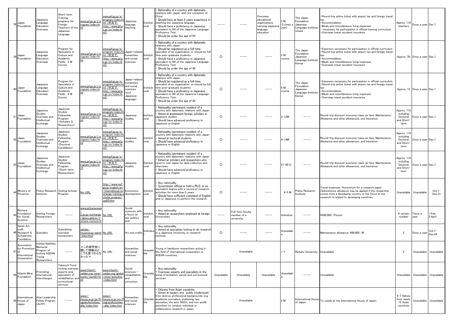| 38 | Japan<br>Foundation                                                     | Japanese<br>Language<br>Education<br>Overseas                                             | Short-term<br>Training<br>programs for<br>Foreign<br>Teachers of the<br>Japanese<br>Language:                         | www.jpf.go.jp/j/p<br>rogram/index.ht<br>ml                                                    | www.jpf.go.jp/e/<br>program/index.ht<br><u>nl(中文で:</u><br>http://www.jpf.g<br>o.jp/cn/index.ht<br>ml)                           | Japanese<br>anguage<br>teaching                                                        | Instituti<br>onal | Nationality of a country with diplomatic<br>relations with Japan, with the exception of<br>China<br>Should have at least 2 years experience in<br>teaching the Japanese language<br>Should have a proficiency in Japanese<br>equivalent to N4 of the Japanese Language<br>Proficiency Test<br>Should be under the age of 55           |             |                                                 | Overseas<br>educational<br>organizations<br>carrying Japanese<br>anguage<br>education | 2 M<br>(3 times<br>year) | The Japan<br>Foundation<br>Japanese<br>Language Institute<br>Urawa  | Round-trip airline ticket with airport tax and foreign travel<br>Accommodation<br>Meals and miscellaneous living expenses<br>necessary for participation in official training curriculum<br>Overseas travel accident insurance   | Approx. 110<br>teachers                                    | Once a year Dec.1            |                         |
|----|-------------------------------------------------------------------------|-------------------------------------------------------------------------------------------|-----------------------------------------------------------------------------------------------------------------------|-----------------------------------------------------------------------------------------------|---------------------------------------------------------------------------------------------------------------------------------|----------------------------------------------------------------------------------------|-------------------|---------------------------------------------------------------------------------------------------------------------------------------------------------------------------------------------------------------------------------------------------------------------------------------------------------------------------------------|-------------|-------------------------------------------------|---------------------------------------------------------------------------------------|--------------------------|---------------------------------------------------------------------|----------------------------------------------------------------------------------------------------------------------------------------------------------------------------------------------------------------------------------|------------------------------------------------------------|------------------------------|-------------------------|
| 39 | Japan<br>Foundation                                                     | Japanese<br>Language<br>Education<br>Overseas                                             | Program for<br>Specialists in<br>Culture and<br>Academic<br>Fields: 2 M<br>Course                                     | www.jpf.go.jp/j/p<br>rogram/index.ht                                                          | www.jpf.go.jp/e/<br>program/index.ht<br><u>nl(中文で:</u><br>http://www.jpf.g<br>o.jp/cn/index.ht<br><u>ml)</u>                    | Japan-related<br>humanities<br>and social<br>sciences                                  | Instituti<br>onal | Nationality of a country with diplomatic<br>relations with Japan<br>Should be registered as a full-time<br>specialist of an organization, or should be full<br>time post-graduate students<br>Should have a proficiency in Japanese<br>equivalent to N4 of the Japanese Language<br>Proficiency Test<br>Should be under the age of 40 | $\circ$     |                                                 |                                                                                       | 2 M<br>course            | The Japan<br>Foundation<br>Japanese<br>Language Institute<br>Kansai | . Expenses necessary for participation in official curriculum<br>Round-trip airline ticket with airport tax and foreign travel<br>Accommodation<br>Meals and miscellaneous living expenses<br>Overseas travel accident insurance |                                                            | Approx. 30 Once a year Dec.1 |                         |
|    | 40 Japan<br>Foundation                                                  | Japanese<br>Language<br>Education<br>Overseas                                             | Program for<br>Specialists in<br>Culture and<br>Academic<br>Fields: 6 M<br>Course                                     | www.jpf.go.jp/j/p<br>rogram/index.ht                                                          | www.jpf.go.jp/e/<br><u>program/index.h</u><br><u>nl(中文で:</u><br>ttp://www.jpf.j<br>o.jp/cn/index.ht<br>ml)                      | Japan-related<br>numanities<br>and social<br>sciences<br>excl.<br>Japanese<br>anguage) | Instituti<br>onal | Nationality of a country with diplomatic<br>relations with Japan<br>Should be registered as a full-time<br>specialist of an organization, or should be full<br>time post-graduate students<br>Should have a proficiency in Japanese<br>equivalent to N4 of the Japanese Language<br>Proficiency Test<br>Should be under the age of 40 | $\circ$     |                                                 |                                                                                       | 6 M<br>course            | The Japan<br>Foundation<br>Japanese<br>Language Institute<br>Kansai | . Expenses necessary for participation in official curriculum<br>Round-trip airline ticket with airport tax and foreign travel<br>Accommodation<br>Meals and miscellaneous living expenses<br>Overseas travel accident insurance |                                                            | Approx. 15 Once a year Dec.1 |                         |
| 41 | Japan<br>Foundation                                                     | Japanese<br>Studies<br>Overseas and<br>Intellectual<br>Exchange                           | Japanese<br>Studies<br>Fellowship<br>Program<br><scholars &<br="">Researchers&gt;</scholars>                          | www.jpf.go.jp/j/p<br>rogram/index.ht                                                          | www.jpf.go.jp/e/<br><u>program/index.ht</u><br><u>nl(中文で:</u><br>ittp://www.jpf.j<br>o.jp/cn/index.ht<br>ml)                    | Japanese<br>studies                                                                    | Instituti<br>onal | Nationality/permanent resident of a<br>country with diplomatic relations with Japan<br>Aimed at preeminent foreign scholars in<br>Japanese studies<br>Should have advanced proficiency in<br>Japanese or English                                                                                                                      | $\circ$     |                                                 |                                                                                       | $2 - 12M$                |                                                                     | Round-trip discount economy-class air fare, Maintenance<br>Allowance and other allowances, and Insurance                                                                                                                         | Approx. 110<br>including<br>Doctoral<br>and Short-<br>term | Once a year Dec.1            |                         |
| 42 | Japan<br>Foundation                                                     | Japanese<br>Studies<br>Overseas and<br>Intellectual<br>Exchange                           | Japanese<br>Studies<br>Fellowship<br>Program<br><doctoral<br>Candidates&gt;</doctoral<br>                             | www.jpf.go.jp/j/p<br>ogram/index.ht                                                           | www.jpf.go.jp/e/<br>program/index.ht<br>ml(中文で:<br>http://www.jpf.j<br>o.jp/cn/index.ht<br>ml).                                 | Japanese<br>studies                                                                    | Instituti<br>onal | Nationality/permanent resident of a<br>country with diplomatic relations with Japan<br>Aimed at doctoral students<br>Should have advanced proficiency in<br>Japanese or English                                                                                                                                                       | $\circ$     |                                                 |                                                                                       | $4-14M$                  |                                                                     | Round-trip discount economy-class air fare, Maintenance<br>Allowance and other allowances, and Insurance                                                                                                                         | Approx. 110<br>including<br>Doctoral<br>and Short-<br>term | Once a year Dec.1            |                         |
| 43 | Japan<br>Foundation                                                     | Japanese<br>Studies<br>Overseas and<br>Intellectual<br>Exchange                           | Japanese<br>Studies<br>Fellowship<br>Program<br>Short-term<br>Researchers>                                            | www.jpf.go.jp/j/p<br>rogram/index.ht                                                          | www.jpf.go.jp/e/<br><u>program/index.ht</u><br><u>: ウ文中)  r</u><br>ttp://www.jpf.g<br>o.jp/cn/index.ht<br><u>ml)</u>            | lapanese<br>studies                                                                    | Instituti<br>onal | Nationality/permanent resident of a<br>country with diplomatic relations with Japan<br>Aimed at scholars and researchers who<br>need to visit Japan for data collection and<br>interviews<br>Should have advanced proficiency in<br>Japanese or English                                                                               | $\circ$     |                                                 |                                                                                       | $21-60$ D                |                                                                     | Round-trip discount economy-class air fare, Maintenance<br>Allowance and other allowances, and Insurance                                                                                                                         | Approx. 110<br>including<br>Doctoral<br>and Short-<br>term | Once a year Dec.1            |                         |
|    | Ministry of<br>Finance                                                  | Institute                                                                                 | Policy Research Visiting Scholar<br>Program                                                                           | No-URL                                                                                        | http://www.mof.<br>go.jp/english/pri<br>international_ex_Economics,<br>change/visiting_s<br>cholar_program/<br><u>zai03.htm</u> | development                                                                            | Instituti<br>onal | Any nationality<br>Government official or hold a Ph.D. or an<br>equivalent degree with a record of research<br>activities for more than 5 years<br>Should have sufficient command of English<br>and/or Japanese to perform the research.                                                                                              | $\circ$     |                                                 |                                                                                       | $4-5$ M                  | Policy Research<br>Institute                                        | Travel expenses. Honorarium for a research paper.<br>(Subsistence allowance may be applied if the researcher<br>comes from a developing country or the focus of the<br>research is related to developing countries.              | Unavailable                                                | Unavailable                  | $Oct.1-$<br>Dec.31      |
|    | Nomura<br>45 Foundation<br>for Social<br>Science                        | <b>Inviting Foreign</b><br>Researchers                                                    | $\cdots$                                                                                                              | www.ad.kanazawa<br>u.ac.jp/exchange No URL<br><u>jigyou gaiyou/n</u><br><u>mura/nomura.ht</u> |                                                                                                                                 | Social<br>ciences with<br>a focus on<br>law, politics<br>and                           | Instituti<br>onal | Any nationality<br>Aimed at researchers employed at foreign<br>Universities                                                                                                                                                                                                                                                           | $- - - - -$ | Full-time faculty<br>member of a<br>university. | -----                                                                                 | Unlimited                |                                                                     | ¥500.000 / Person                                                                                                                                                                                                                | A certain<br>number                                        | Twice a<br>vear              | I.Feb.<br>2.April       |
|    | Satoh Art<br>craft<br>46 Research &<br>Scholarship<br>Foundation        | Subsidies                                                                                 | Subsidizing<br>overseas<br>researchers                                                                                | sekido-<br>museum.jp/satoh No URL<br>-kikin.html                                              |                                                                                                                                 | Art and crafts                                                                         | Individua         | Any nationality<br>Aimed at specialists looking to do research<br>n a Japanese University or research<br>institute                                                                                                                                                                                                                    | $\circ$     | -----                                           | $- - - - -$                                                                           | Jnavailabl               |                                                                     | Maintenance allowance: ¥80,000 /M                                                                                                                                                                                                | $\overline{2}$                                             | Once a year                  | $Oct.1-$<br>Dec.24      |
|    | Association<br>for Promotion<br>$47$ of<br>International<br>Cooperation | Ushiba Nobihiko<br>Memorial<br>rogram of<br><b>Inviting ASEAN</b><br>Young<br>Researchers | $\cdots$                                                                                                              | *この奨学金に<br>関して情報はど<br>こでも見つからな No URL<br>かった*                                                 |                                                                                                                                 | Humanities<br>and social<br>sciences                                                   | unavalla<br>ble   | Young or backbone researchers acting in<br>the field of international cooperation in<br>ASEAN countries.                                                                                                                                                                                                                              |             | Unavailable                                     |                                                                                       | Y                        | Reitaku University Unavailable                                      |                                                                                                                                                                                                                                  | $\overline{2}$                                             |                              | Unavailable Unavailable |
|    | 48 Hitachi Mirai<br>Foundation                                          | Promoting<br>nternational<br>interchanges                                                 | Takeuchi Fund<br>inviting overseas<br>experts and<br>specialists of<br>rehabilitation and<br>correctional<br>services | <u>www.hitachi-</u><br>zaidan.org/mirai/<br>works/work01.ht<br>ml                             | www.hitachi-<br>zaidan.org/globa<br>/mirai/activities<br>index.html                                                             | Social<br>sciences –<br>rehabilitation<br>and<br>correction                            | Unavaila          | Any nationality<br>Overseas experts and specialists in the<br>areas of probation, parole and correctional<br>services                                                                                                                                                                                                                 | Unavailable | Unavailable                                     | Unavailable                                                                           | Unavailabl               |                                                                     | Unavailable                                                                                                                                                                                                                      |                                                            | Unavailable Unavailable      | Unavailable             |
|    | International<br>49 House of<br>Japan                                   | Asia Leadership<br><b>Fellow Program</b><br>(ALFP)                                        | $- - - - -$                                                                                                           | VWW.I <sup>-</sup><br><u>house.or.jp/jp/Pr</u><br>ogramActivities/<br>alfp/index.htm          | WWW.I <sup>-1</sup><br>house.or.jp/en/P<br>rogramActivities<br>/alfp/index.htm                                                  | Humanities<br>and social<br>sciences                                                   | ble               | Citizens from Asian countries<br>Aimed at leaders and 'public intellectuals'<br>from diverse professional backgrounds (e.g.<br>Unavaila academia, journalism, publishing, law,<br>education, the arts, NGOs, and non-profit<br>activities) to conduct individual or<br>collaborative research in Japan                                |             | Unavailable                                     |                                                                                       | 2 M                      | <b>International House</b><br>of Japan.                             | To reside at the International House of Japan.                                                                                                                                                                                   | 6-7 fellows<br>from nearly<br>15 Asian<br>countries        | Unavailable                  | Unavailable             |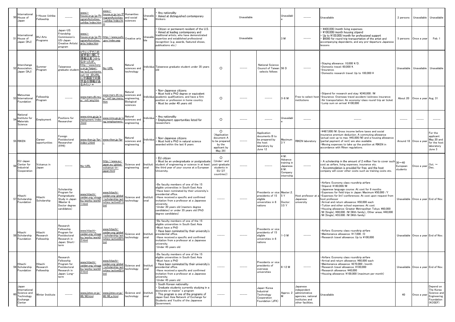| 50          | International<br>House of<br>Japan                                        | -House Ushiba<br>Fellowship       |                                                                                                           | www.i-<br><u>house.or.jp/jp/Pr</u><br>ogramActivities<br><u>ushiba/index.htn</u>                                                                               | www.i=<br>house.or.ip/en/P<br>rogramActivities<br>ushiba/index.ht                              | Humanities<br>and social<br>sciences                              | Jnavail           | Any nationality<br>Aimed at distinguished contemporary<br>hinkers:                                                                                                                                                                                                                                                                                                      | Unavailable                                                                                  |             |                                                                                               | Unavailabl                                                                   |                                                                                                                                                                                                                                                                                                                                                                                                                                                                                                                      | Unavailable                                                                                                                                                                                                                                                                                                                                                                                                                                                                                                           | 2 persons            | Unavailable                         | Unavailable                                                                  |
|-------------|---------------------------------------------------------------------------|-----------------------------------|-----------------------------------------------------------------------------------------------------------|----------------------------------------------------------------------------------------------------------------------------------------------------------------|------------------------------------------------------------------------------------------------|-------------------------------------------------------------------|-------------------|-------------------------------------------------------------------------------------------------------------------------------------------------------------------------------------------------------------------------------------------------------------------------------------------------------------------------------------------------------------------------|----------------------------------------------------------------------------------------------|-------------|-----------------------------------------------------------------------------------------------|------------------------------------------------------------------------------|----------------------------------------------------------------------------------------------------------------------------------------------------------------------------------------------------------------------------------------------------------------------------------------------------------------------------------------------------------------------------------------------------------------------------------------------------------------------------------------------------------------------|-----------------------------------------------------------------------------------------------------------------------------------------------------------------------------------------------------------------------------------------------------------------------------------------------------------------------------------------------------------------------------------------------------------------------------------------------------------------------------------------------------------------------|----------------------|-------------------------------------|------------------------------------------------------------------------------|
| $5^{\circ}$ | <b>International</b><br>House of<br>Japan (IHJ)                           | HJ Arts<br>Programs               | Japan-US<br>Friendship<br>Commission's<br>JS-Japan<br>Creative Artists'<br>program                        | -i.www<br>ogramActivities/<br>arts/index.htm                                                                                                                   | house.or.jp/jp/Pr http://www.jusfc<br>.gov/index.asp                                           | Creative arts                                                     | Unavail           | Citizen or permanent resident of the U.S.<br>Aimed at leading contemporary and<br>traditional artists, who have demonstrated<br>expertise and established professional<br>recognition (e.g. awards, featured shows,<br>publications etc.)                                                                                                                               |                                                                                              | Unavailable |                                                                                               | 3 M                                                                          | -----                                                                                                                                                                                                                                                                                                                                                                                                                                                                                                                | ¥400,000/month living expenses<br>¥100,000/month housing stipend<br>Up to ¥100,000/month for professional support<br>\$6000 for round trip transportation of the artist and<br>accompanying dependants, and any pre-departure Japanese<br>lessons                                                                                                                                                                                                                                                                     | 5 persons            | Once a year                         | Feb. 1                                                                       |
| 52          | Interchange<br>Association,<br>Japan (IAJ)                                | Summer<br>Program                 | Taiwanese<br>graduate student                                                                             | <u>*ウェッブでこの</u><br>奨学金に関して<br>情報は見つから<br>なかったが、<br>http://www.kory<br>u.or.jp/taipei-<br><u>tw/ez3_contents.</u><br>nsf/14 のURL<br>に中国語での奨<br>学金の情報があ<br>るみたい* | No-URL                                                                                         | Natural<br>sciences and<br>technology                             |                   | Individua Taiwanese graduate student under 35 years<br>old                                                                                                                                                                                                                                                                                                              | $\circ$                                                                                      |             | <b>National Science</b><br>Council of Taiwan<br>selects fellows                               | 56 D                                                                         |                                                                                                                                                                                                                                                                                                                                                                                                                                                                                                                      | Staying allowance: 10,000 ¥/D.<br>Domestic travel: 60,000 ¥.<br>Insurance.<br>Domestic research travel: Up to 100,000 ¥                                                                                                                                                                                                                                                                                                                                                                                               | Unavailable          | Unavailable                         | Unavailable                                                                  |
|             | Matsumae<br>53 International<br>Foundation                                | Fellowship<br>Program             |                                                                                                           | www.mars.dti.ne.j<br>p∕mif/ainj.htm                                                                                                                            | www.mars.dti.ne.i<br>∕mif⁄aw menu<br>ntm                                                       | Natural<br>sciences and<br>engineering,<br>Biological<br>sciences | ndividua          | Non-Japanese citizens<br>Must hold a PhD degree or equivalent<br>academic qualifications, and have a firm<br>position or profession in home country<br>Must be under 49 years old                                                                                                                                                                                       | $\circ$                                                                                      |             |                                                                                               | $3-6$ M                                                                      | Free to select hos<br>nstitutions                                                                                                                                                                                                                                                                                                                                                                                                                                                                                    | Stipend for research and stay: ¥240,000 /M<br>Insurance: Overseas travel accident/sickness insurance<br>Air transportation: An economy-class round-trip air ticket<br>Lump sum on arrival: ¥100,000                                                                                                                                                                                                                                                                                                                   | About 20             | Once a year Aug. 31                 |                                                                              |
|             | National<br>Institute for<br>Materials<br>Science                         | Employment                        | Positions for<br>Researcher                                                                               | <u>www.nims.go.jp/e</u><br>mployment/index<br>html                                                                                                             | <u>www.nims.go.jp/e</u><br>ng/employment/                                                      | Natural<br>sciences and<br>engineering                            | ndividua          | Any nationality<br>Employment opportunities listed for<br>esearchers                                                                                                                                                                                                                                                                                                    | $\circ$                                                                                      | -----       |                                                                                               | Jnavailabl                                                                   | -----                                                                                                                                                                                                                                                                                                                                                                                                                                                                                                                |                                                                                                                                                                                                                                                                                                                                                                                                                                                                                                                       | $- - - - -$          | $\cdots$                            |                                                                              |
| 55          | <b>RIKEN</b>                                                              | Career<br>opportunities           | Foreign<br>Postdoctoral<br>Researcher<br>(FPR)                                                            | index-j.html                                                                                                                                                   | www.riken.jp/fpr/www.riken.jp/fpr                                                              | Natural<br>sciences and<br>engineering                            | Individua         | Non-Japanese citizens<br>Must hold a PhD in natural science<br>awarded within the last 6 years                                                                                                                                                                                                                                                                          | $\circ$<br>(Application<br>document A<br>to be prepared<br>by the<br>applicant by<br>May 29) |             | Application<br>documents B to<br>be prepared by<br>the host<br>laboratory by<br>June 12       | Maximum<br>3 Y                                                               | RIKEN laboratory                                                                                                                                                                                                                                                                                                                                                                                                                                                                                                     | ¥487,000/M: Gross income before taxes and social<br>nsurance premium deduction. A commuting allowance<br>actual cost up to max. ¥45,000/M) and a housing allowance<br>(partial payment of rent) are also available.<br>Moving expenses to take up the position at RIKEN in<br>accordance with Riken regulations.                                                                                                                                                                                                      |                      | Around 18 Once a year               | For the<br>applicant<br>May 20 and<br>for the host<br>laboratory<br>June 3   |
|             | EU-Japan<br>Center for<br>Industrial<br>Cooperation                       | Vulcanus in<br>Japan              |                                                                                                           | No-URL                                                                                                                                                         | http://www.eu-<br>japan.eu/global/<br><u>vulcanus−in−</u><br>japan.html                        | Science and<br>engineering                                        | Instituti<br>onal | EU citizen<br>Must be an undergraduate or postgraduate<br>student of engineering or science in at least<br>the third year of your course at a European<br>University.                                                                                                                                                                                                   | $\circ$<br>(Under- and<br>post-graduate<br>students in<br>EU (27<br>countries))              |             |                                                                                               | 4 M:<br>Advance<br>training in<br>Japanese.<br>8 M :<br>Company<br>nternship |                                                                                                                                                                                                                                                                                                                                                                                                                                                                                                                      | A scholarship in the amount of 2 million Yen to cover such $_{30\sim40}$<br>cost as airfare, living expenses, insurance etc.<br>Accommodation is provided for free, and the host<br>company will cover other costs such as training costs etc.                                                                                                                                                                                                                                                                        | European<br>students | Once a year                         | Oct. $\sim$<br>Dec.                                                          |
|             | Hitachi<br>57 Scholarship<br>Foundation                                   | Hitachi<br>Scholarship            | Scholarship<br>Program for<br>Postgraduate<br>Study in Japan<br>(Master &<br>Doctor degree<br>candidates) | <u>www.hitachi-</u><br><u>zaidan.org/shoga</u><br>ku/works/work0<br>.html                                                                                      | <u>www.hitachi-</u><br>zaidan.org/globa<br>/scholarship/act<br><u>vities/active01.l</u><br>tml | Science and<br>technology                                         | Instituti<br>onal | ·Be faculty members of one of the 15<br>eligible universities in South East Asia<br>. Have been nominated by their university's<br>presidential office.<br>· Have received a specific and confirmed<br>invitation from a professor at a Japanese<br>university.<br>· Under 30 years old (masters degree<br>candidates) or under 35 years old (PhD<br>degree candidates) |                                                                                              |             | Presidents or vice Master::2.<br>presidents of 15<br>eligible<br>universities in 6<br>nations | 5 Y<br>Doctor:<br>3.5 Y                                                      | lost professor at<br>Japanese<br>university                                                                                                                                                                                                                                                                                                                                                                                                                                                                          | Airfare: Economy class roundtrip airfare<br>Stipend: ¥180,000/M<br>Japanese language course: At cost for 6 months<br>Expenses for field trips in Japan: Maximum ¥50,000 /Y<br>Expenses for Int'l conferences: At cost upon request from<br>host professor<br>Arrival and return allowance: ¥50,000 each<br>Tuition and other school expenses: At cost<br>Housing allowance: Greater Metropolitan Tokyo; ¥60,000<br>M (Single), ¥90,000 /M (With family), Other areas; ¥40,000<br>M (Single), ¥55.000 /M (With family) |                      | Unavailable Once a year End of Nov. |                                                                              |
| 58          | Hitachi<br>Scholarship<br>Foundation                                      | Hitachi<br>Research<br>Fellowship | Research<br>Fellowship<br>Program for<br>Postdoctoral<br>Research in<br>Japan: Short-<br>term             | www.hitachi-<br>zaidan.org/shoga<br>ku/works/work0<br>.html                                                                                                    | www.hitachi-<br>zaidan.org/global<br>/scholarship/act<br>vities/active02.                      | Science and<br>technology                                         | Institut<br>onal  | ·Be faculty members of one of the 15<br>eligible universities in South East Asia<br>·Must have a PhD<br>Have been nominated by their university's<br>presidential office.<br>· Have received a specific and confirmed<br>invitation from a professor at a Japanese<br>university.<br>·Under 45 years old                                                                |                                                                                              |             | Presidents or vice<br>presidents of 15<br>eligible<br>universities in 6<br>nations            | $-3M$                                                                        |                                                                                                                                                                                                                                                                                                                                                                                                                                                                                                                      | Airfare: Economy class roundtrip airfare<br>Maintenance allowance: ¥17,000 /D<br>Research travel allowance: Up to ¥100,000                                                                                                                                                                                                                                                                                                                                                                                            |                      | Unavailable Once a year End of Nov. |                                                                              |
|             | Hitachi<br>59 Scholarship<br>Foundation                                   | Hitachi<br>Research<br>Fellowship | Research<br>Fellowship<br>Program for<br>Postdoctoral<br>Research in<br>Japan: Long-<br>term              | www.hitachi-<br>zaidan.org/shoga<br>ku/works/work0<br>2.html                                                                                                   | www.hitachi-<br><u>zaidan.org/global</u><br>/scholarship/act<br>ivities/active02.h<br>tml      | Science and<br>technology                                         | Institut<br>onal  | Be faculty members of one of the 15<br>eligible universities in South East Asia<br>Must have a PhD<br>Have been nominated by their university's<br>presidential office.<br>· Have received a specific and confirmed<br>invitation from a professor at a Japanese<br>university.<br>· Under 45 years old                                                                 | $\cdots$                                                                                     | $- - - - -$ | Presidents or vice<br>presidents of<br>overseas<br>universities                               | $6 - 12$ M                                                                   | $\begin{tabular}{ccccc} \multicolumn{2}{c} {\textbf{---}} & \multicolumn{2}{c} {\textbf{---}} & \multicolumn{2}{c} {\textbf{---}} & \multicolumn{2}{c} {\textbf{---}} & \multicolumn{2}{c} {\textbf{---}} & \multicolumn{2}{c} {\textbf{---}} & \multicolumn{2}{c} {\textbf{---}} & \multicolumn{2}{c} {\textbf{---}} & \multicolumn{2}{c} {\textbf{---}} & \multicolumn{2}{c} {\textbf{---}} & \multicolumn{2}{c} {\textbf{---}} & \multicolumn{2}{c} {\textbf{---}} & \multicolumn{2}{c} {\textbf{---}} & \multic$ | Airfare: Economy class roundtrip airfare<br>Arrival and return allowance: ¥60,000 each<br>Maintenance allowance: ¥270,000 /month<br>Research travel allowance: ¥100,000<br>Research allowance: ¥40,000<br>Housing allowance: ¥100,000 (maximum per month)                                                                                                                                                                                                                                                             |                      | Unavailable Once a year End of Nov. |                                                                              |
| 60          | Japan<br>International<br>Science and<br>Technology<br>Exchange<br>Center | Ninter Institute                  |                                                                                                           | WI/WI.html                                                                                                                                                     | www.jistec.or.jp/ www.jistec.or.jp/ Science and Instituti<br>WI/WI_e.html                      | technology                                                        | onal              | South Korean nationality<br>Graduate students currently studying in a<br>doctorate or master's program<br>This program is one of the programs of<br>Japan East Asia Network of Exchange for<br>Students and Youths of the Japanese<br>Government.                                                                                                                       | -----                                                                                        |             | Japan-Korea<br>Industrial<br>Technology<br>Cooperation<br>Foundation (JFK)                    | Approx. 2                                                                    | Japanese<br>independent<br>administrative<br>agencies, national<br>institutes and<br>other facilities.                                                                                                                                                                                                                                                                                                                                                                                                               | Unavailable                                                                                                                                                                                                                                                                                                                                                                                                                                                                                                           | 40                   | Once a year                         | Depend on<br>The Korea<br>Science and<br>Engineering<br>Foundation<br>KOSEF) |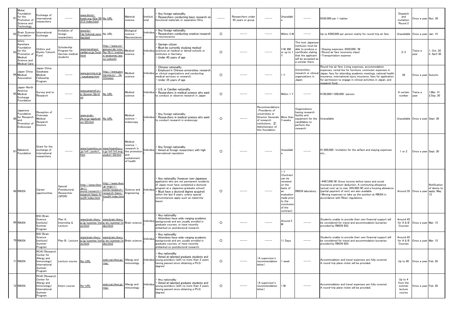|    | Mukai<br>Foundation<br>$61$ for the<br>Promotion of<br>Science and<br>Technology                      | Exchange of<br>international<br>researchers                                                      | -----                                                    | www.disclo-<br>oeki.org/02a/00 No URL<br>213/index.html                                      |                                                                                                              | Material<br>science                                                                     | Instituti<br>onal | Any foreign nationality<br>Researchers conducting basic research on<br>functional materials or separation films.                                                                                                                                                                                               | $\cdots$ | Researchers under<br>45 years or group |                                                                                                                                                   | Jnavailabl                                                                                                                                   |                                                                                                                                                     | ¥350,000 per 1 matter                                                                                                                                                                                                                                                                                                                 | Dispatch<br>and<br>invitation:<br>Round 2          | Once a year Nov. 30              |                                            |
|----|-------------------------------------------------------------------------------------------------------|--------------------------------------------------------------------------------------------------|----------------------------------------------------------|----------------------------------------------------------------------------------------------|--------------------------------------------------------------------------------------------------------------|-----------------------------------------------------------------------------------------|-------------------|----------------------------------------------------------------------------------------------------------------------------------------------------------------------------------------------------------------------------------------------------------------------------------------------------------------|----------|----------------------------------------|---------------------------------------------------------------------------------------------------------------------------------------------------|----------------------------------------------------------------------------------------------------------------------------------------------|-----------------------------------------------------------------------------------------------------------------------------------------------------|---------------------------------------------------------------------------------------------------------------------------------------------------------------------------------------------------------------------------------------------------------------------------------------------------------------------------------------|----------------------------------------------------|----------------------------------|--------------------------------------------|
|    | <b>Brain Science</b><br>Foundation                                                                    | International<br>Exchange                                                                        | Invitation of<br>foreign<br>researchers                  | -www.bs<br>jp/kokusai syou No URL<br>ıei.html                                                |                                                                                                              | Biological<br>science ·<br>Veuroscience                                                 | ndividua          | Any foreign nationality<br>Researchers conducting creative research<br>n neuroscience                                                                                                                                                                                                                          | $\circ$  | -----                                  |                                                                                                                                                   | Within 3 M                                                                                                                                   |                                                                                                                                                     | Up to ¥300,000 per person mainly for round-trip air fare.                                                                                                                                                                                                                                                                             | Unavailable                                        | Once a year                      | Jan. 14                                    |
|    | Ichiro<br>Kanehara<br>Foundation<br>for the<br>Promotion of<br>Medical<br>Science and<br>Medical Care | Chihiro and<br>Kiyoko Yokochi<br>Fund                                                            | Scholarship<br>Program for<br>German medical<br>students | <u>www.kanehara-</u><br>zaidan.or.jp/fund.<br><u>html</u>                                    | http://www.uni-<br><u>giessen.de/cms/</u><br>fbz/fb11/institut<br><u>:/anatomie/ass</u><br><u>oz/yokochi</u> | Medical<br>science                                                                      |                   | German citizen<br>Must be currently studying medical<br>Individua sciences at medical or dental schools or<br>institutes in Germany<br>Under 40 years of age                                                                                                                                                   | $\circ$  |                                        |                                                                                                                                                   | 3 M, 6M,<br>or up to 1                                                                                                                       | The host Japanese<br>nstituion must be<br>able to produce a<br>certificate stating<br>that the applicant<br>will be accepted as<br>a scholar there. | Staying expenses: ¥420,000 /M<br>Round air fare (economy class)<br>· Transportation expense                                                                                                                                                                                                                                           | $2 - 3$                                            | Twice a<br>year                  | Oct. 30<br>. April 30                      |
|    | Japan China<br>Medical<br>Association                                                                 | Japan China<br>Sasakawa<br>Medical<br>Fellowship<br>Program                                      |                                                          | <u>vww.jpcnma.or.jp</u><br>sasakawa.html                                                     | http://www.jpcn<br>ma.org.cn/ (In<br>Chinese)                                                                | Medical<br>science                                                                      |                   | Chinese nationality<br>Employed in Chinese universities, research<br>Individua or clinical organizations and conducting<br>medical services or research.<br>Under 35 years of age                                                                                                                              | $\circ$  |                                        |                                                                                                                                                   | 1 Y                                                                                                                                          | Universities,<br>research or clinica<br>organizations in<br>Japan                                                                                   | Round trip air fare, Living expenses, accommodation<br>expenses, rental fee for furniture, commuter expenses in<br>Japan, fees for attending academic meetings, national health<br>insurance, international injury insurance, fees for application<br>for permission to engage in clinical activities in Japan, and<br>research fund. | 30                                                 | Once a year Autumn               |                                            |
|    | Japan-North<br>America<br>Medical<br>Exchange<br>Foundation                                           | Survey and/or<br>Research                                                                        |                                                          | <u>www.janamef.or.j</u><br>2/yosei/2jb.ht No URL                                             |                                                                                                              | Medical<br>science                                                                      | Individua         | U.S. or Candian nationality<br>Researchers in medical science who want<br>to conduct or observe research in Japan                                                                                                                                                                                              | $\circ$  |                                        |                                                                                                                                                   | Within 1 Y                                                                                                                                   |                                                                                                                                                     | ¥100,000~500,000 /person                                                                                                                                                                                                                                                                                                              | A certain<br>number                                | Twice a<br>year                  | Mar. 31<br>2.Sep. 30                       |
| 66 | Japanese<br>Foundation<br>for Research<br>and<br>Promotion of<br>Endoscope                            | Reception of<br>Overseas<br>Medical<br>Research<br>Doctors                                       |                                                          | vww.endo-<br>fe.or.jp/applicati No URL<br>on/02.html                                         |                                                                                                              | Medical<br>science ·<br>endoscopy                                                       | Individua         | Any foreign nationality<br>Researchers in medical science who want<br>to conduct research in endoscopy                                                                                                                                                                                                         | $\Omega$ |                                        | Recommendations<br>Presidents of<br>universities or<br>Director Generals<br>of research<br>institutions, ②<br>Administrator of<br>this foundation | More than<br>3 weeks                                                                                                                         | Organizations<br>having research<br>facility and<br>equipment for the<br>candidates to<br>perform the<br>research                                   | Unavailable                                                                                                                                                                                                                                                                                                                           |                                                    | Unavailable Once a year Sept. 30 |                                            |
|    | 67 Nakatomi<br>Foundation                                                                             | Grant for the<br>exchange of<br>international<br>researchers                                     |                                                          | <u>vww.hisamitsu.co_www.hisamitsu.c</u><br>.jp/tnf/_youko1_<br>htm                           | o.jp/tnf/tnf_eng<br>youko1-02.htm                                                                            | Medical<br>science -<br>research in<br>the promotion<br>and<br>sustainment<br>of health | ndividua          | Any foreign nationality<br>Aimed at foreign researchers with high<br>international reputation                                                                                                                                                                                                                  | $\circ$  |                                        |                                                                                                                                                   | Unavailabl                                                                                                                                   |                                                                                                                                                     | ¥1,000,000 /invitation for the airfare and staving expenses<br>etc                                                                                                                                                                                                                                                                    | $1$ or $2$                                         | Once a year Sept. 30             |                                            |
|    | 68 RIKEN                                                                                              | Career<br>opportunities                                                                          | Special<br>Postdoctoral<br>Researcher<br>(SPDR)          | http://www.riken<br>.jp/r-<br>world/research/r<br><u>esearch/basic/ki</u><br>so24/index.html | http://www.riker<br>p/engn/r-<br>world/research/<br>esearch/basic/<br>iso24/index.htn                        | Science and<br>Engineering                                                              | Individua         | Any nationality (however non-Japanese<br>applicants who are not permanent residents<br>of Japan must have completed a doctoral<br>program at a Japanese graduate school)<br>Must have a doctoral degree acquired<br>within the last 6 years, unless special<br>circumstances apply such as maternity<br>leave) | $\circ$  |                                        |                                                                                                                                                   | 1 Y<br>(Contract<br>can be<br>renewed<br>on the<br>basis of<br>an<br>evaluation<br>made prior<br>to the<br>conclusior<br>of the<br>contract) | <b>RIKEN</b> laboratory                                                                                                                             | .¥487,000/M: Gross income before taxes and social<br>insurance premium deduction. A commuting allowance<br>(actual cost up to max. ¥45,000/M) and a housing allowance<br>(partial payment of rent) are also available.<br>. Moving expenses to take up the position at RIKEN in<br>accordance with Riken regulations.                 |                                                    | Around 35 Once a year            | Notification<br>of desire to<br>apply: May |
|    | 69 RIKEN                                                                                              | <b>BSI</b> (Brain<br>Science<br>Institute)<br>Summer<br>Program                                  | Plan A:<br>Internship &<br>Lecture                       | www.brain.riken.j<br>ex.html                                                                 | www.brain.riken.<br>/jp/summer/ind p/en/summer/in Brain science<br>dex.html                                  |                                                                                         | Individua         | Any nationality<br>Attendees have wide-ranging academic<br>backgrounds and are usually enrolled in<br>graduate courses, or have recently<br>embarked on postdoctoral research.                                                                                                                                 | $\circ$  |                                        |                                                                                                                                                   | Around 2                                                                                                                                     |                                                                                                                                                     | Students unable to provide their own financial support will<br>be considered for travel and accommodation bursaries<br>provided by RIKEN BSI.                                                                                                                                                                                         | Around 45<br>for A & B<br>Courses                  | Once a year Mar. 15              |                                            |
|    | 70 RIKEN                                                                                              | <b>BSI</b> (Brain<br>Science<br>Institute)<br>Summer<br>Program                                  | Plan B: Lecture                                          | <u>www.brain.riken.j</u><br>p/jp/summer/ind p/en/summer/in Brain science<br>ex.html          | www.brain.riken.<br>dex.html                                                                                 |                                                                                         | Individua         | Any nationality<br>Attendees have wide-ranging academic<br>backgrounds and are usually enrolled in<br>graduate courses, or have recently<br>embarked on postdoctoral research                                                                                                                                  | $\circ$  | -----                                  | -----                                                                                                                                             | 11 Days                                                                                                                                      | $-----$                                                                                                                                             | Students unable to provide their own financial support will<br>be considered for travel and accommodation bursaries<br>provided by RIKEN BSI.                                                                                                                                                                                         | Around 45<br>for A & B<br>Courses                  | Once a year Mar. 15              |                                            |
|    | 71 RIKEN                                                                                              | रCAI (Researcl<br>Center for<br>Allergy and<br>Immunology)<br>International<br>Summer<br>Program | Lecture course                                           | No-URL                                                                                       | web.rcai.riken.jp/<br>risp/                                                                                  | Allergy and<br>immunology                                                               | Individua         | Any nationality<br>Aimed at talented graduate students and<br>young postdocs (with no more than 3 years<br>having passed since obtaining a Ph.D.<br>degree)                                                                                                                                                    | $\circ$  | -----                                  | (A supervisor's<br>recommendation<br>letter)                                                                                                      | week                                                                                                                                         |                                                                                                                                                     | Accommodation and travel expenses are fully covered.<br>A round-trip plane ricket will be provided.                                                                                                                                                                                                                                   | Up to $40$                                         | Once a year Feb. 28              |                                            |
|    | 72 RIKEN                                                                                              | RCAI (Research<br>Center for<br>Allergy and<br>Immunology)<br>International<br>Summer<br>Program | Intern course                                            | No-URL                                                                                       | web.rcai.riken.jp/ Allergy and<br>risp/                                                                      | immunology                                                                              | Individua         | Any nationality<br>Aimed at talented graduate students and<br>young postdocs (with no more than 3 years<br>having passed since obtaining a Ph.D.<br>degree)                                                                                                                                                    | $\circ$  |                                        | (A supervisor's<br>recommendation<br>letter)                                                                                                      | M                                                                                                                                            | -----                                                                                                                                               | Accommodation and travel expenses are fully covered.<br>A round-trip plane ricket will be provided.                                                                                                                                                                                                                                   | Up to 4<br>from the<br>summer<br>lecture<br>course | Once a year Feb. 28              |                                            |